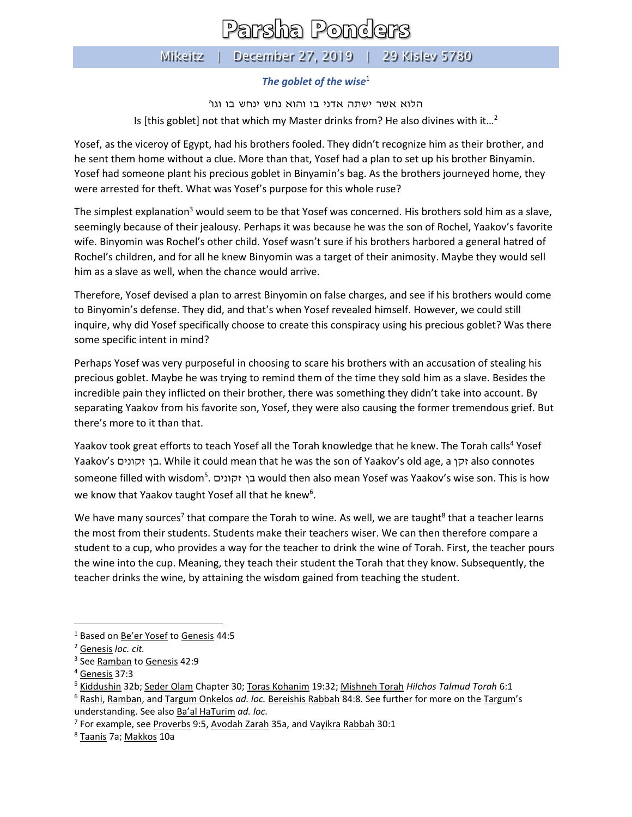## Parsha Ponders

Mikeitz | December 27, 2019 | 29 Kislev 5780

## *The goblet of the wise*<sup>1</sup>

הלוא אשר ישתה אדני בו והוא נחש ינחש בו וגו' Is [this goblet] not that which my Master drinks from? He also divines with it...<sup>2</sup>

Yosef, as the viceroy of Egypt, had his brothers fooled. They didn't recognize him as their brother, and he sent them home without a clue. More than that, Yosef had a plan to set up his brother Binyamin. Yosef had someone plant his precious goblet in Binyamin's bag. As the brothers journeyed home, they were arrested for theft. What was Yosef's purpose for this whole ruse?

The simplest explanation<sup>3</sup> would seem to be that Yosef was concerned. His brothers sold him as a slave, seemingly because of their jealousy. Perhaps it was because he was the son of Rochel, Yaakov's favorite wife. Binyomin was Rochel's other child. Yosef wasn't sure if his brothers harbored a general hatred of Rochel's children, and for all he knew Binyomin was a target of their animosity. Maybe they would sell him as a slave as well, when the chance would arrive.

Therefore, Yosef devised a plan to arrest Binyomin on false charges, and see if his brothers would come to Binyomin's defense. They did, and that's when Yosef revealed himself. However, we could still inquire, why did Yosef specifically choose to create this conspiracy using his precious goblet? Was there some specific intent in mind?

Perhaps Yosef was very purposeful in choosing to scare his brothers with an accusation of stealing his precious goblet. Maybe he was trying to remind them of the time they sold him as a slave. Besides the incredible pain they inflicted on their brother, there was something they didn't take into account. By separating Yaakov from his favorite son, Yosef, they were also causing the former tremendous grief. But there's more to it than that.

Yaakov took great efforts to teach Yosef all the Torah knowledge that he knew. The Torah calls<sup>4</sup> Yosef Yaakov's זקונים בן. While it could mean that he was the son of Yaakov's old age, a זקן also connotes someone filled with wisdom<sup>5</sup> . זקונים בן would then also mean Yosef was Yaakov's wise son. This is how we know that Yaakov taught Yosef all that he knew<sup>6</sup>.

We have many sources<sup>7</sup> that compare the Torah to wine. As well, we are taught<sup>8</sup> that a teacher learns the most from their students. Students make their teachers wiser. We can then therefore compare a student to a cup, who provides a way for the teacher to drink the wine of Torah. First, the teacher pours the wine into the cup. Meaning, they teach their student the Torah that they know. Subsequently, the teacher drinks the wine, by attaining the wisdom gained from teaching the student.

<sup>&</sup>lt;sup>1</sup> Based on **Be'er Yosef to Genesis** 44:5

<sup>2</sup> Genesis *loc. cit.*

<sup>&</sup>lt;sup>3</sup> See <u>Ramban</u> to <u>Genesis</u> 42:9

<sup>4</sup> Genesis 37:3

<sup>5</sup> Kiddushin 32b; Seder Olam Chapter 30; Toras Kohanim 19:32; Mishneh Torah *Hilchos Talmud Torah* 6:1

<sup>6</sup> Rashi, Ramban, and Targum Onkelos *ad. loc.* Bereishis Rabbah 84:8. See further for more on the Targum's understanding. See also Ba'al HaTurim *ad. loc.*

<sup>&</sup>lt;sup>7</sup> For example, see <u>Proverbs</u> 9:5, <u>Avodah Zarah</u> 35a, and <u>Vayikra Rabbah</u> 30:1

<sup>8</sup> Taanis 7a; Makkos 10a